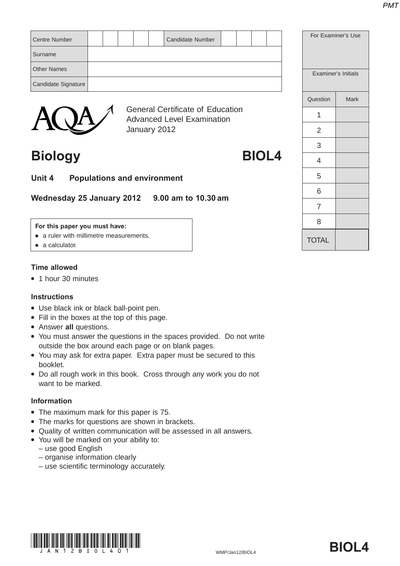| <b>Centre Number</b> |  |  | <b>Candidate Number</b>                 |  |  | For Exa  |
|----------------------|--|--|-----------------------------------------|--|--|----------|
| Surname              |  |  |                                         |  |  |          |
| <b>Other Names</b>   |  |  |                                         |  |  | Examir   |
| Candidate Signature  |  |  |                                         |  |  |          |
|                      |  |  |                                         |  |  | Question |
|                      |  |  | <b>General Certificate of Education</b> |  |  |          |



General Certificate of Education Advanced Level Examination January 2012

## **Biology BIOL4**

**Unit 4 Populations and environment**

**Wednesday 25 January 2012 9.00 am to 10.30 am**

### **For this paper you must have:**

- a ruler with millimetre measurements.
- $\bullet$  a calculator.

### **Time allowed**

• 1 hour 30 minutes

### **Instructions**

- Use black ink or black ball-point pen.
- Fill in the boxes at the top of this page.
- **Answer all questions.**
- You must answer the questions in the spaces provided. Do not write outside the box around each page or on blank pages.
- You may ask for extra paper. Extra paper must be secured to this booklet.
- Do all rough work in this book. Cross through any work you do not want to be marked.

### **Information**

- The maximum mark for this paper is 75.
- The marks for questions are shown in brackets.
- Quality of written communication will be assessed in all answers.
- You will be marked on your ability to:
	- use good English
	- organise information clearly
	- use scientific terminology accurately.



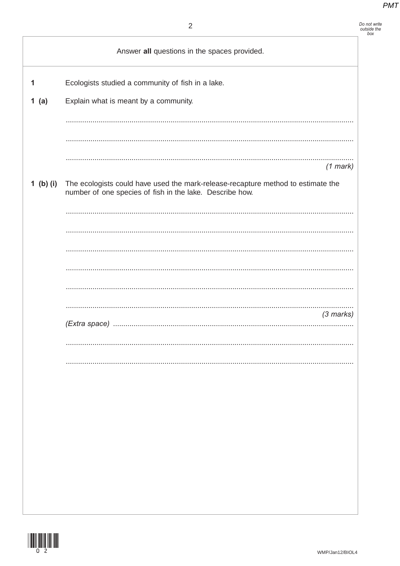|           | $\overline{2}$                                                                                                                               | Do not write<br>outside the<br>box |
|-----------|----------------------------------------------------------------------------------------------------------------------------------------------|------------------------------------|
|           | Answer all questions in the spaces provided.                                                                                                 |                                    |
| 1         | Ecologists studied a community of fish in a lake.                                                                                            |                                    |
| 1(a)      | Explain what is meant by a community.                                                                                                        |                                    |
|           |                                                                                                                                              |                                    |
|           |                                                                                                                                              |                                    |
|           |                                                                                                                                              |                                    |
|           | $(1$ mark)                                                                                                                                   |                                    |
| 1 (b) (i) | The ecologists could have used the mark-release-recapture method to estimate the<br>number of one species of fish in the lake. Describe how. |                                    |
|           |                                                                                                                                              |                                    |
|           |                                                                                                                                              |                                    |
|           |                                                                                                                                              |                                    |
|           |                                                                                                                                              |                                    |
|           |                                                                                                                                              |                                    |
|           |                                                                                                                                              |                                    |
|           | $(3$ marks)                                                                                                                                  |                                    |
|           |                                                                                                                                              |                                    |
|           |                                                                                                                                              |                                    |
|           |                                                                                                                                              |                                    |
|           |                                                                                                                                              |                                    |
|           |                                                                                                                                              |                                    |
|           |                                                                                                                                              |                                    |
|           |                                                                                                                                              |                                    |
|           |                                                                                                                                              |                                    |
|           |                                                                                                                                              |                                    |
|           |                                                                                                                                              |                                    |
|           |                                                                                                                                              |                                    |

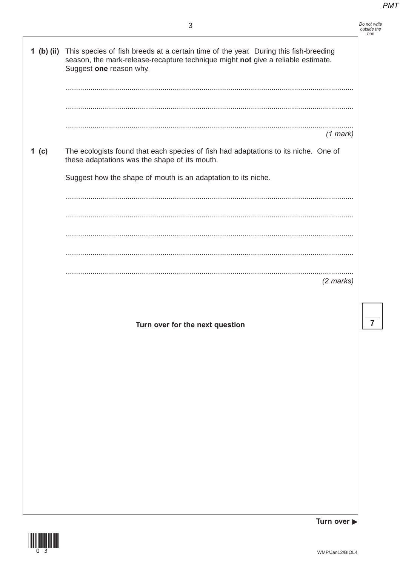Do not write<br>outside the<br>box

 $\overline{7}$ 

|       | 1 (b) (ii) This species of fish breeds at a certain time of the year. During this fish-breeding<br>season, the mark-release-recapture technique might not give a reliable estimate.<br>Suggest one reason why. |
|-------|----------------------------------------------------------------------------------------------------------------------------------------------------------------------------------------------------------------|
|       |                                                                                                                                                                                                                |
|       | .<br>$(1$ mark)                                                                                                                                                                                                |
| 1 (c) | The ecologists found that each species of fish had adaptations to its niche. One of<br>these adaptations was the shape of its mouth.                                                                           |
|       | Suggest how the shape of mouth is an adaptation to its niche.                                                                                                                                                  |
|       |                                                                                                                                                                                                                |
|       |                                                                                                                                                                                                                |
|       |                                                                                                                                                                                                                |
|       |                                                                                                                                                                                                                |
|       | <br>$(2$ marks)                                                                                                                                                                                                |
|       |                                                                                                                                                                                                                |
|       | Turn over for the next question                                                                                                                                                                                |
|       |                                                                                                                                                                                                                |
|       |                                                                                                                                                                                                                |
|       |                                                                                                                                                                                                                |
|       |                                                                                                                                                                                                                |
|       |                                                                                                                                                                                                                |
|       |                                                                                                                                                                                                                |
|       |                                                                                                                                                                                                                |
|       |                                                                                                                                                                                                                |
|       |                                                                                                                                                                                                                |
|       |                                                                                                                                                                                                                |



Turn over  $\blacktriangleright$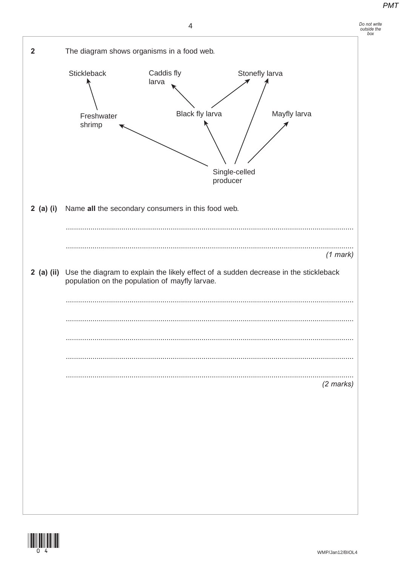



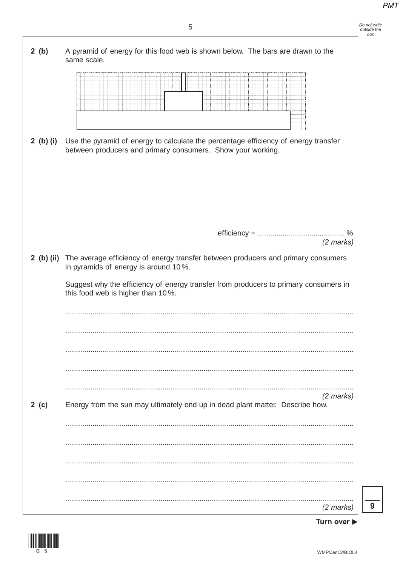

Turn over ▶

9

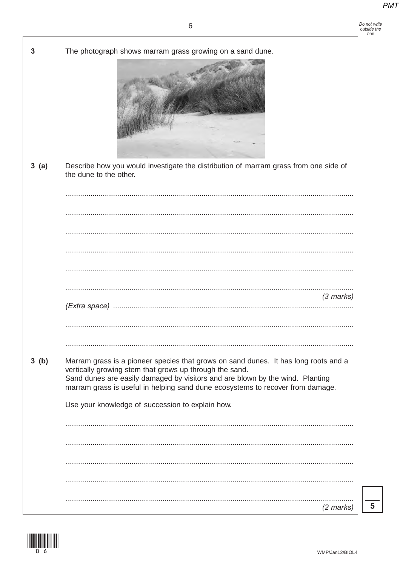|      | The photograph shows marram grass growing on a sand dune.                                                                                                                                                                                                                                                         |
|------|-------------------------------------------------------------------------------------------------------------------------------------------------------------------------------------------------------------------------------------------------------------------------------------------------------------------|
| 3(a) | Describe how you would investigate the distribution of marram grass from one side of<br>the dune to the other.                                                                                                                                                                                                    |
|      |                                                                                                                                                                                                                                                                                                                   |
|      |                                                                                                                                                                                                                                                                                                                   |
|      |                                                                                                                                                                                                                                                                                                                   |
|      |                                                                                                                                                                                                                                                                                                                   |
|      |                                                                                                                                                                                                                                                                                                                   |
|      |                                                                                                                                                                                                                                                                                                                   |
|      | $(3$ marks)                                                                                                                                                                                                                                                                                                       |
|      |                                                                                                                                                                                                                                                                                                                   |
| 3(b) | Marram grass is a pioneer species that grows on sand dunes. It has long roots and a<br>vertically growing stem that grows up through the sand.<br>Sand dunes are easily damaged by visitors and are blown by the wind. Planting<br>marram grass is useful in helping sand dune ecosystems to recover from damage. |
|      | Use your knowledge of succession to explain how.                                                                                                                                                                                                                                                                  |
|      |                                                                                                                                                                                                                                                                                                                   |
|      |                                                                                                                                                                                                                                                                                                                   |
|      |                                                                                                                                                                                                                                                                                                                   |
|      |                                                                                                                                                                                                                                                                                                                   |
|      |                                                                                                                                                                                                                                                                                                                   |
|      | $(2 \text{ marks})$                                                                                                                                                                                                                                                                                               |

 $\overline{\overline{\overline{5}}}$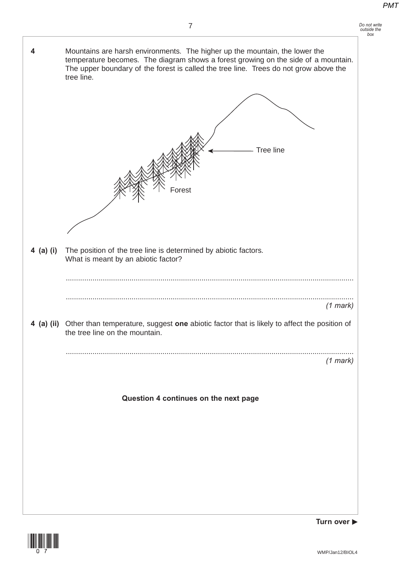| Do not write |
|--------------|
| outside the  |
| box          |





**Turn over**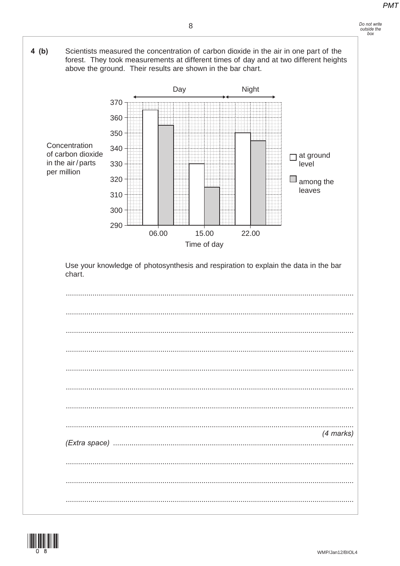## Do not write<br>outside the<br>box





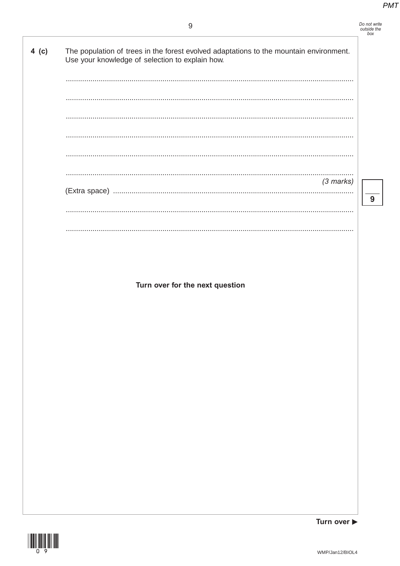### $9\,$

|         | 9                                                                                                                                         | Do not write<br>outside the<br>box |
|---------|-------------------------------------------------------------------------------------------------------------------------------------------|------------------------------------|
| $4$ (c) | The population of trees in the forest evolved adaptations to the mountain environment.<br>Use your knowledge of selection to explain how. |                                    |
|         |                                                                                                                                           |                                    |
|         |                                                                                                                                           |                                    |
|         |                                                                                                                                           |                                    |
|         |                                                                                                                                           |                                    |
|         |                                                                                                                                           |                                    |
|         | $(3$ marks)                                                                                                                               |                                    |
|         |                                                                                                                                           | 9                                  |
|         |                                                                                                                                           |                                    |
|         |                                                                                                                                           |                                    |
|         |                                                                                                                                           |                                    |
|         |                                                                                                                                           |                                    |
|         | Turn over for the next question                                                                                                           |                                    |
|         |                                                                                                                                           |                                    |
|         |                                                                                                                                           |                                    |
|         |                                                                                                                                           |                                    |
|         |                                                                                                                                           |                                    |



Turn over ▶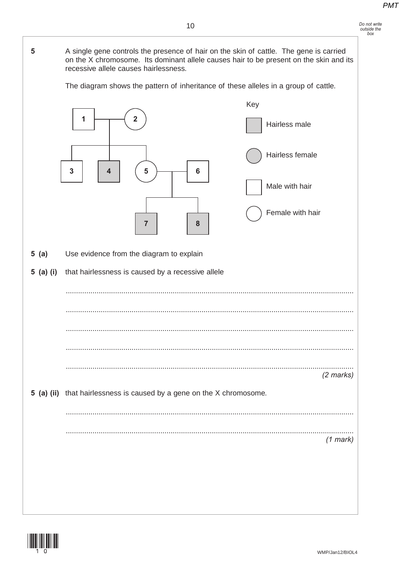### *Do not write outside the box*

recessive allele causes hairlessness. The diagram shows the pattern of inheritance of these alleles in a group of cattle. 1  $\rightarrow$  2 Hairless male Key Male with hair Female with hair Hairless female 3 | | 4 | ( 5 <del>) | |</del> 6 **7 8 5 (a)** Use evidence from the diagram to explain **5 (a) (i)** that hairlessness is caused by a recessive allele ............................................................................................................................................ ............................................................................................................................................ ............................................................................................................................................ ............................................................................................................................................ ............................................................................................................................................ *(2 marks)* **5 (a) (ii)** that hairlessness is caused by a gene on the X chromosome. ............................................................................................................................................ *(1 mark)*



**5** A single gene controls the presence of hair on the skin of cattle. The gene is carried

on the X chromosome. Its dominant allele causes hair to be present on the skin and its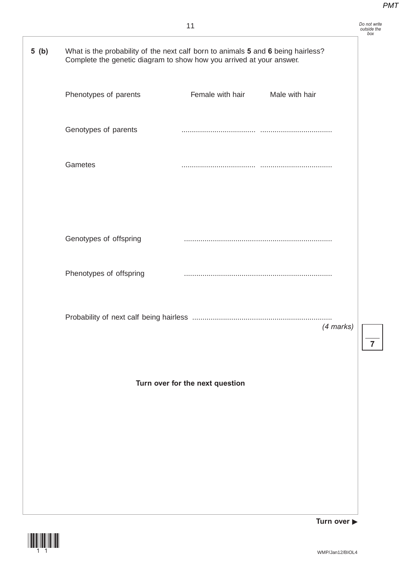|      |                                                                                                                                                          | 11                              |                | Do not write<br>outside the<br>box |
|------|----------------------------------------------------------------------------------------------------------------------------------------------------------|---------------------------------|----------------|------------------------------------|
| 5(b) | What is the probability of the next calf born to animals 5 and 6 being hairless?<br>Complete the genetic diagram to show how you arrived at your answer. |                                 |                |                                    |
|      | Phenotypes of parents                                                                                                                                    | Female with hair                | Male with hair |                                    |
|      | Genotypes of parents                                                                                                                                     |                                 |                |                                    |
|      | Gametes                                                                                                                                                  |                                 |                |                                    |
|      |                                                                                                                                                          |                                 |                |                                    |
|      | Genotypes of offspring                                                                                                                                   |                                 |                |                                    |
|      | Phenotypes of offspring                                                                                                                                  |                                 |                |                                    |
|      |                                                                                                                                                          |                                 | (4 marks)      |                                    |
|      |                                                                                                                                                          |                                 |                | $\overline{7}$                     |
|      |                                                                                                                                                          | Turn over for the next question |                |                                    |
|      |                                                                                                                                                          |                                 |                |                                    |
|      |                                                                                                                                                          |                                 |                |                                    |
|      |                                                                                                                                                          |                                 |                |                                    |



**Turn over**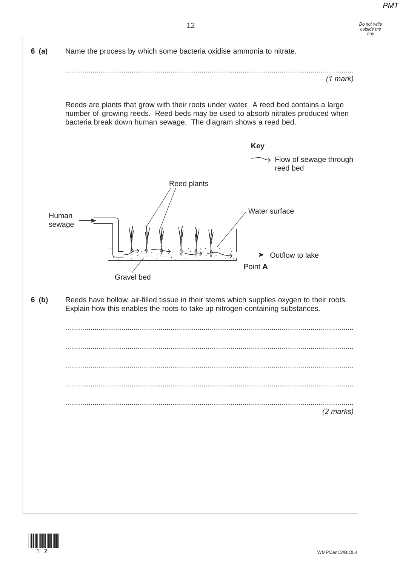

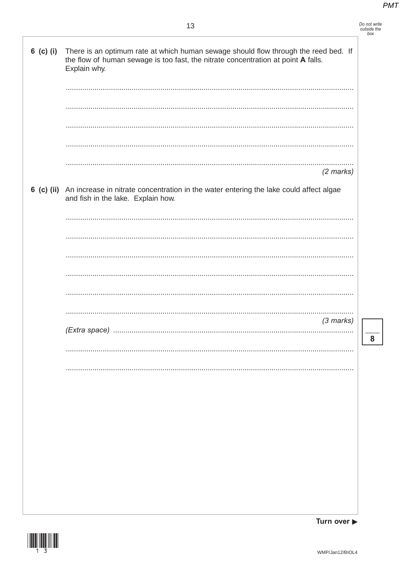| Do not write |
|--------------|
| outside the  |
| $h^{\alpha}$ |

 $\overline{\mathbf{8}}$ 

| 6 (c) (i) There is an optimum rate at which human sewage should flow through the reed bed. If<br>the flow of human sewage is too fast, the nitrate concentration at point A falls.<br>Explain why. |
|----------------------------------------------------------------------------------------------------------------------------------------------------------------------------------------------------|
|                                                                                                                                                                                                    |
|                                                                                                                                                                                                    |
|                                                                                                                                                                                                    |
| $(2$ marks)                                                                                                                                                                                        |
| 6 (c) (ii) An increase in nitrate concentration in the water entering the lake could affect algae<br>and fish in the lake. Explain how.                                                            |
|                                                                                                                                                                                                    |
|                                                                                                                                                                                                    |
|                                                                                                                                                                                                    |
|                                                                                                                                                                                                    |
| $(3$ marks)                                                                                                                                                                                        |
|                                                                                                                                                                                                    |
|                                                                                                                                                                                                    |
|                                                                                                                                                                                                    |
|                                                                                                                                                                                                    |
|                                                                                                                                                                                                    |
|                                                                                                                                                                                                    |
|                                                                                                                                                                                                    |



Turn over  $\blacktriangleright$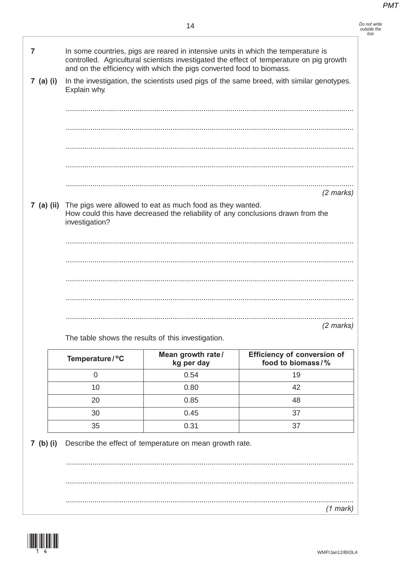Do not write<br>outside the<br>box

| 7           |                                                                                                                                                         | In some countries, pigs are reared in intensive units in which the temperature is<br>and on the efficiency with which the pigs converted food to biomass. | controlled. Agricultural scientists investigated the effect of temperature on pig growth  |  |
|-------------|---------------------------------------------------------------------------------------------------------------------------------------------------------|-----------------------------------------------------------------------------------------------------------------------------------------------------------|-------------------------------------------------------------------------------------------|--|
| 7 (a) (i)   | Explain why.                                                                                                                                            |                                                                                                                                                           | In the investigation, the scientists used pigs of the same breed, with similar genotypes. |  |
|             |                                                                                                                                                         |                                                                                                                                                           |                                                                                           |  |
|             |                                                                                                                                                         |                                                                                                                                                           |                                                                                           |  |
|             |                                                                                                                                                         |                                                                                                                                                           |                                                                                           |  |
|             |                                                                                                                                                         |                                                                                                                                                           |                                                                                           |  |
|             |                                                                                                                                                         |                                                                                                                                                           |                                                                                           |  |
|             |                                                                                                                                                         |                                                                                                                                                           |                                                                                           |  |
|             |                                                                                                                                                         |                                                                                                                                                           | $(2 \text{ marks})$                                                                       |  |
|             |                                                                                                                                                         |                                                                                                                                                           |                                                                                           |  |
|             | 7 (a) (ii) The pigs were allowed to eat as much food as they wanted.<br>How could this have decreased the reliability of any conclusions drawn from the |                                                                                                                                                           |                                                                                           |  |
|             |                                                                                                                                                         |                                                                                                                                                           |                                                                                           |  |
|             | investigation?                                                                                                                                          |                                                                                                                                                           |                                                                                           |  |
|             |                                                                                                                                                         |                                                                                                                                                           |                                                                                           |  |
|             |                                                                                                                                                         |                                                                                                                                                           |                                                                                           |  |
|             |                                                                                                                                                         |                                                                                                                                                           |                                                                                           |  |
|             |                                                                                                                                                         |                                                                                                                                                           |                                                                                           |  |
|             |                                                                                                                                                         |                                                                                                                                                           |                                                                                           |  |
|             |                                                                                                                                                         |                                                                                                                                                           |                                                                                           |  |
|             |                                                                                                                                                         |                                                                                                                                                           |                                                                                           |  |
|             |                                                                                                                                                         | The table shows the results of this investigation.                                                                                                        | $(2 \text{ marks})$                                                                       |  |
|             |                                                                                                                                                         |                                                                                                                                                           |                                                                                           |  |
|             | Temperature / °C                                                                                                                                        | Mean growth rate/<br>kg per day                                                                                                                           | <b>Efficiency of conversion of</b><br>food to biomass/%                                   |  |
|             | $\overline{0}$                                                                                                                                          | 0.54                                                                                                                                                      | 19                                                                                        |  |
|             | 10                                                                                                                                                      | 0.80                                                                                                                                                      | 42                                                                                        |  |
|             | 20                                                                                                                                                      | 0.85                                                                                                                                                      | 48                                                                                        |  |
|             | 30                                                                                                                                                      | 0.45                                                                                                                                                      | 37                                                                                        |  |
|             | 35                                                                                                                                                      | 0.31                                                                                                                                                      | 37                                                                                        |  |
| $7$ (b) (i) |                                                                                                                                                         | Describe the effect of temperature on mean growth rate.                                                                                                   |                                                                                           |  |

 $(1$  mark)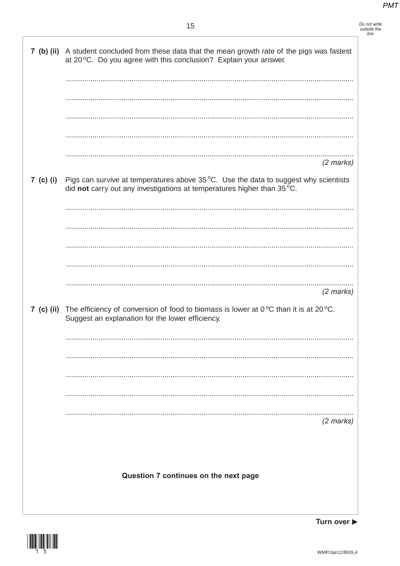# Do not write<br>outside the<br>box

| 7 (b) (ii) A student concluded from these data that the mean growth rate of the pigs was fastest<br>at 20 °C. Do you agree with this conclusion? Explain your answer.              |
|------------------------------------------------------------------------------------------------------------------------------------------------------------------------------------|
|                                                                                                                                                                                    |
|                                                                                                                                                                                    |
|                                                                                                                                                                                    |
|                                                                                                                                                                                    |
| $(2$ marks)                                                                                                                                                                        |
| 7 (c) (i) Pigs can survive at temperatures above $35^{\circ}$ C. Use the data to suggest why scientists<br>did not carry out any investigations at temperatures higher than 35 °C. |
|                                                                                                                                                                                    |
|                                                                                                                                                                                    |
|                                                                                                                                                                                    |
|                                                                                                                                                                                    |
| $(2$ marks)                                                                                                                                                                        |
| 7 (c) (ii) The efficiency of conversion of food to biomass is lower at $0^{\circ}$ C than it is at 20 $^{\circ}$ C.<br>Suggest an explanation for the lower efficiency.            |
|                                                                                                                                                                                    |
|                                                                                                                                                                                    |
|                                                                                                                                                                                    |
|                                                                                                                                                                                    |
| $(2$ marks)                                                                                                                                                                        |
|                                                                                                                                                                                    |
|                                                                                                                                                                                    |
| Question 7 continues on the next page                                                                                                                                              |
|                                                                                                                                                                                    |



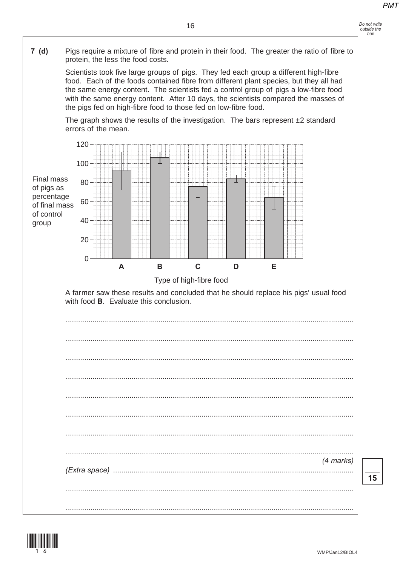

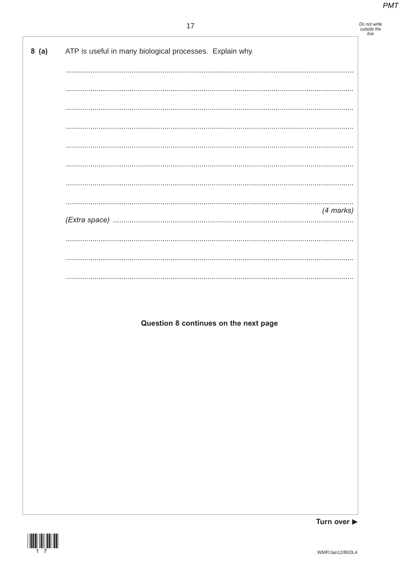Do not write<br>outside the<br>box

| 8 (a) ATP is useful in many biological processes. Explain why. |
|----------------------------------------------------------------|
|                                                                |
|                                                                |
|                                                                |
|                                                                |
|                                                                |
|                                                                |
|                                                                |
| (4 marks)                                                      |
|                                                                |
|                                                                |
|                                                                |
|                                                                |
|                                                                |
| Question 8 continues on the next page                          |
|                                                                |
|                                                                |
|                                                                |
|                                                                |
|                                                                |
|                                                                |
|                                                                |
|                                                                |
|                                                                |
|                                                                |
| Turn over $\blacktriangleright$                                |



 $\mathbf{r}$  )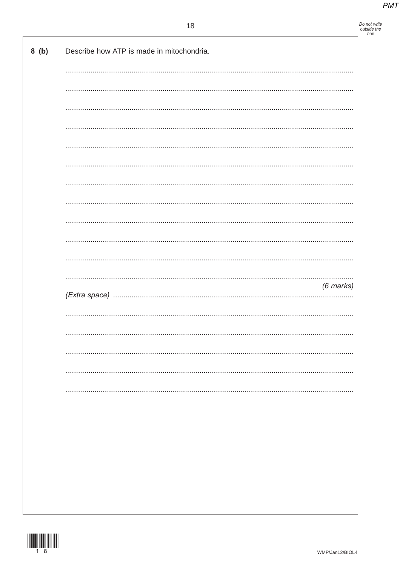Do not write<br>outside the<br>box

|  | $(6$ marks) |
|--|-------------|
|  |             |
|  |             |
|  |             |
|  |             |
|  | .           |
|  |             |
|  |             |
|  |             |
|  |             |
|  |             |
|  |             |
|  |             |
|  |             |
|  |             |

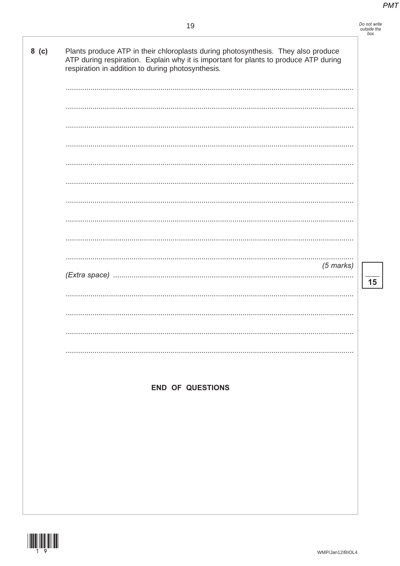$\overline{\mathbf{15}}$ 

| Plants produce ATP in their chloroplasts during photosynthesis. They also produce<br>ATP during respiration. Explain why it is important for plants to produce ATP during<br>respiration in addition to during photosynthesis. |
|--------------------------------------------------------------------------------------------------------------------------------------------------------------------------------------------------------------------------------|
|                                                                                                                                                                                                                                |
|                                                                                                                                                                                                                                |
|                                                                                                                                                                                                                                |
|                                                                                                                                                                                                                                |
|                                                                                                                                                                                                                                |
|                                                                                                                                                                                                                                |
|                                                                                                                                                                                                                                |
|                                                                                                                                                                                                                                |
|                                                                                                                                                                                                                                |
| <br>$(5$ marks)                                                                                                                                                                                                                |
|                                                                                                                                                                                                                                |
|                                                                                                                                                                                                                                |
|                                                                                                                                                                                                                                |
|                                                                                                                                                                                                                                |
|                                                                                                                                                                                                                                |
|                                                                                                                                                                                                                                |
| <b>END OF QUESTIONS</b>                                                                                                                                                                                                        |
|                                                                                                                                                                                                                                |
|                                                                                                                                                                                                                                |
|                                                                                                                                                                                                                                |
|                                                                                                                                                                                                                                |
|                                                                                                                                                                                                                                |
|                                                                                                                                                                                                                                |
|                                                                                                                                                                                                                                |